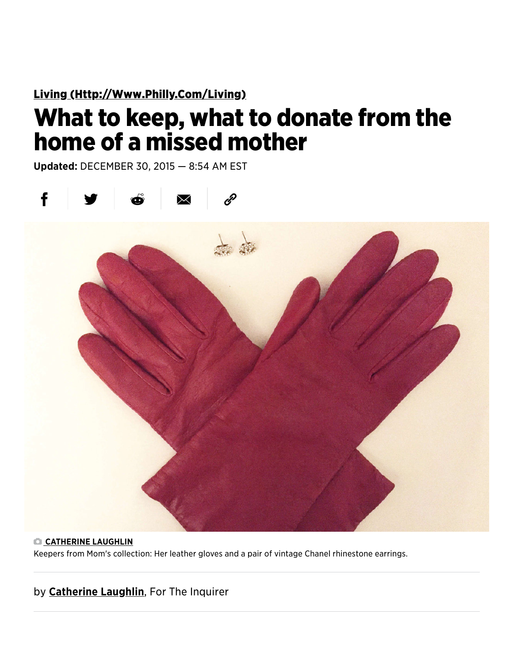Living (Http://Www[.Philly.Com/Living\)](http://www.philly.com/living)

## What to keep, what to donate from the home of a missed mother

Updated: DECEMBER 30, 2015 — 8:54 AM EST



CATHERINE LAUGHLIN

Keepers from Mom's collection: Her leather gloves and a pair of vintage Chanel rhinestone earrings.

by **Catherine Laughlin**, For The Inquirer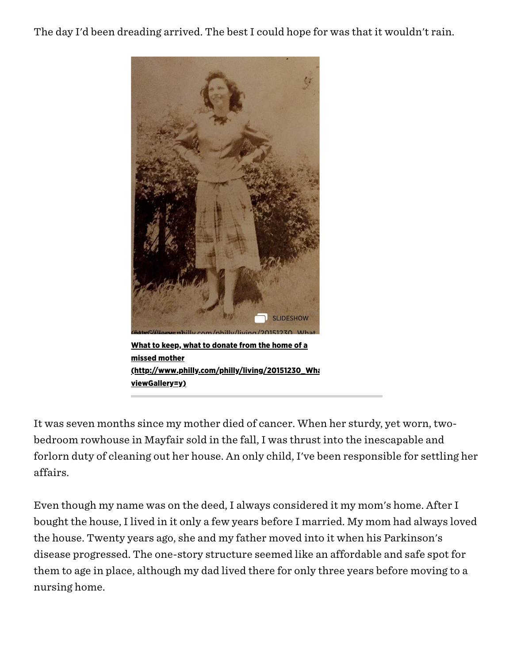The day I'd been dreading arrived. The best I could hope for was that it wouldn't rain.



What to keep, what to donate from the home of a missed mother (http://www[.philly.com/philly/living/](http://www.philly.com/philly/living/20151230_What_to_keep__what_to_donate_from_the_home_of_a_missed_mother.html?viewGallery=y)20151230\_Wha viewGallery=y)

It was seven months since my mother died of cancer. When her sturdy, yet worn, twobedroom rowhouse in Mayfair sold in the fall, I was thrust into the inescapable and forlorn duty of cleaning out her house. An only child, I've been responsible for settling her affairs.

Even though my name was on the deed, I always considered it my mom's home. After I bought the house, I lived in it only a few years before I married. My mom had always loved the house. Twenty years ago, she and my father moved into it when his Parkinson's disease progressed. The one-story structure seemed like an affordable and safe spot for them to age in place, although my dad lived there for only three years before moving to a nursing home.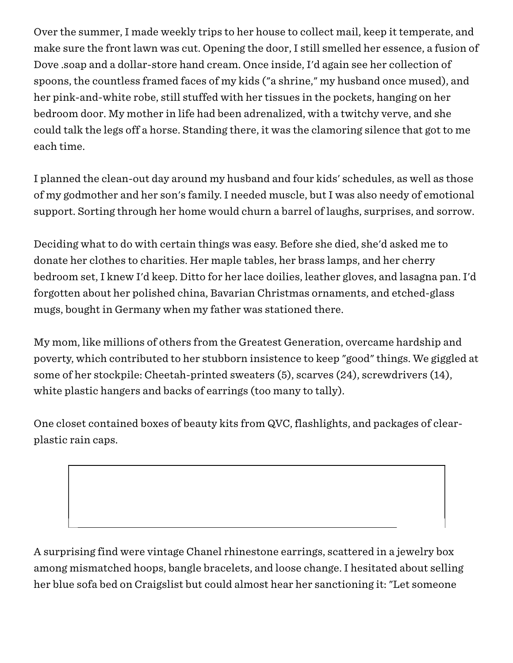Over the summer, I made weekly trips to her house to collect mail, keep it temperate, and make sure the front lawn was cut. Opening the door, I still smelled her essence, a fusion of Dove .soap and a dollar-store hand cream. Once inside, I'd again see her collection of spoons, the countless framed faces of my kids ("a shrine," my husband once mused), and her pink-and-white robe, still stuffed with her tissues in the pockets, hanging on her bedroom door. My mother in life had been adrenalized, with a twitchy verve, and she could talk the legs off a horse. Standing there, it was the clamoring silence that got to me each time.

I planned the clean-out day around my husband and four kids' schedules, as well as those of my godmother and her son's family. I needed muscle, but I was also needy of emotional support. Sorting through her home would churn a barrel of laughs, surprises, and sorrow.

Deciding what to do with certain things was easy. Before she died, she'd asked me to donate her clothes to charities. Her maple tables, her brass lamps, and her cherry bedroom set, I knew I'd keep. Ditto for her lace doilies, leather gloves, and lasagna pan. I'd forgotten about her polished china, Bavarian Christmas ornaments, and etched-glass mugs, bought in Germany when my father was stationed there.

My mom, like millions of others from the Greatest Generation, overcame hardship and poverty, which contributed to her stubborn insistence to keep "good" things. We giggled at some of her stockpile: Cheetah-printed sweaters (5), scarves (24), screwdrivers (14), white plastic hangers and backs of earrings (too many to tally).

One closet contained boxes of beauty kits from QVC, flashlights, and packages of clearplastic rain caps.

A surprising find were vintage Chanel rhinestone earrings, scattered in a jewelry box among mismatched hoops, bangle bracelets, and loose change. I hesitated about selling her blue sofa bed on Craigslist but could almost hear her sanctioning it: "Let someone